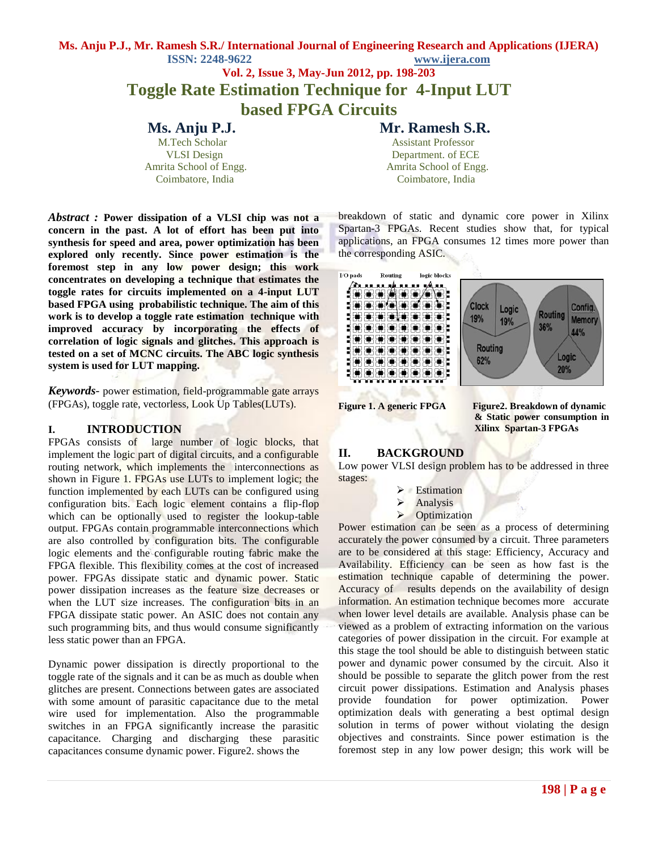# **Vol. 2, Issue 3, May-Jun 2012, pp. 198-203 Toggle Rate Estimation Technique for 4-Input LUT based FPGA Circuits**

**Ms. Anju P.J. Mr. Ramesh S.R.**

M.Tech Scholar Assistant Professor VLSI Design Department. of ECE Amrita School of Engg.  $\blacksquare$  Amrita School of Engg. Coimbatore, India Coimbatore, India

*Abstract :* **Power dissipation of a VLSI chip was not a concern in the past. A lot of effort has been put into synthesis for speed and area, power optimization has been explored only recently. Since power estimation is the foremost step in any low power design; this work concentrates on developing a technique that estimates the toggle rates for circuits implemented on a 4-input LUT based FPGA using probabilistic technique. The aim of this work is to develop a toggle rate estimation technique with improved accuracy by incorporating the effects of correlation of logic signals and glitches. This approach is tested on a set of MCNC circuits. The ABC logic synthesis system is used for LUT mapping.**

*Keywords-* power estimation, field-programmable gate arrays (FPGAs), toggle rate, vectorless, Look Up Tables(LUTs).

# **I. INTRODUCTION**

FPGAs consists of large number of logic blocks, that implement the logic part of digital circuits, and a configurable routing network, which implements the interconnections as shown in Figure 1. FPGAs use LUTs to implement logic; the function implemented by each LUTs can be configured using configuration bits. Each logic element contains a flip-flop which can be optionally used to register the lookup-table output. FPGAs contain programmable interconnections which are also controlled by configuration bits. The configurable logic elements and the configurable routing fabric make the FPGA flexible. This flexibility comes at the cost of increased power. FPGAs dissipate static and dynamic power. Static power dissipation increases as the feature size decreases or when the LUT size increases. The configuration bits in an FPGA dissipate static power. An ASIC does not contain any such programming bits, and thus would consume significantly less static power than an FPGA.

Dynamic power dissipation is directly proportional to the toggle rate of the signals and it can be as much as double when glitches are present. Connections between gates are associated with some amount of parasitic capacitance due to the metal wire used for implementation. Also the programmable switches in an FPGA significantly increase the parasitic capacitance. Charging and discharging these parasitic capacitances consume dynamic power. Figure2. shows the

breakdown of static and dynamic core power in Xilinx Spartan-3 FPGAs. Recent studies show that, for typical applications, an FPGA consumes 12 times more power than the corresponding ASIC.



**Figure 1. A generic FPGA Figure2. Breakdown of dynamic & Static power consumption in Xilinx Spartan-3 FPGAs**

# **II. BACKGROUND**

Low power VLSI design problem has to be addressed in three stages:

- Estimation
- $\triangleright$  Analysis

# **Dependition**

Power estimation can be seen as a process of determining accurately the power consumed by a circuit. Three parameters are to be considered at this stage: Efficiency, Accuracy and Availability. Efficiency can be seen as how fast is the estimation technique capable of determining the power. Accuracy of results depends on the availability of design information. An estimation technique becomes more accurate when lower level details are available. Analysis phase can be viewed as a problem of extracting information on the various categories of power dissipation in the circuit. For example at this stage the tool should be able to distinguish between static power and dynamic power consumed by the circuit. Also it should be possible to separate the glitch power from the rest circuit power dissipations. Estimation and Analysis phases provide foundation for power optimization. Power optimization deals with generating a best optimal design solution in terms of power without violating the design objectives and constraints. Since power estimation is the foremost step in any low power design; this work will be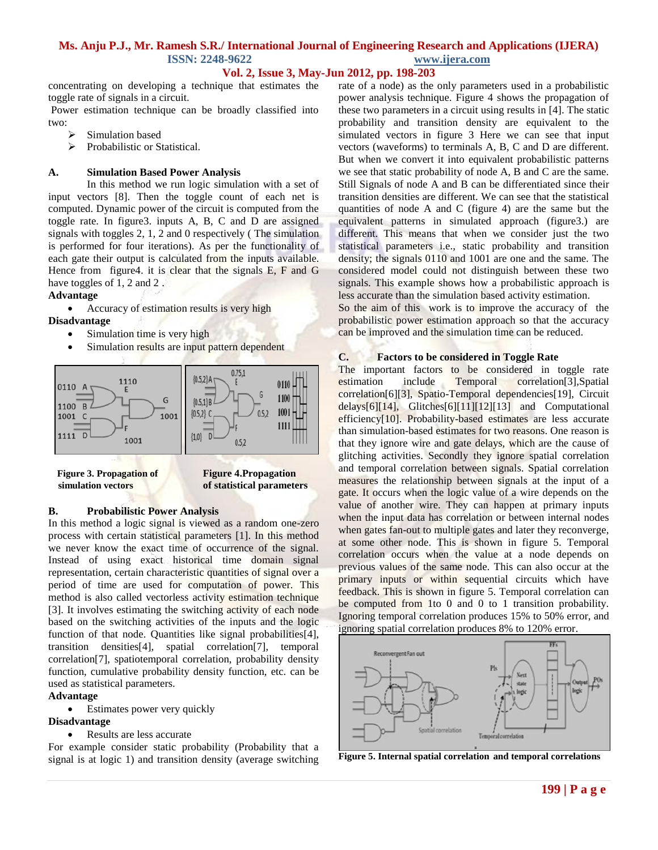# **Vol. 2, Issue 3, May-Jun 2012, pp. 198-203**

concentrating on developing a technique that estimates the toggle rate of signals in a circuit.

Power estimation technique can be broadly classified into two:

- Simulation based
- > Probabilistic or Statistical.

### **A. Simulation Based Power Analysis**

In this method we run logic simulation with a set of input vectors [8]. Then the toggle count of each net is computed. Dynamic power of the circuit is computed from the toggle rate. In figure3. inputs A, B, C and D are assigned signals with toggles 2, 1, 2 and 0 respectively ( The simulation is performed for four iterations). As per the functionality of each gate their output is calculated from the inputs available. Hence from figure4. it is clear that the signals E, F and G have toggles of 1, 2 and 2.

# **Advantage**

• Accuracy of estimation results is very high

#### **Disadvantage**

- Simulation time is very high
- Simulation results are input pattern dependent



 **simulation vectors of statistical parameters**

 **Figure 3. Propagation of Figure 4.Propagation**

### **B. Probabilistic Power Analysis**

In this method a logic signal is viewed as a random one-zero process with certain statistical parameters [1]. In this method we never know the exact time of occurrence of the signal. Instead of using exact historical time domain signal representation, certain characteristic quantities of signal over a period of time are used for computation of power. This method is also called vectorless activity estimation technique [3]. It involves estimating the switching activity of each node based on the switching activities of the inputs and the logic function of that node. Quantities like signal probabilities[4], transition densities[4], spatial correlation[7], temporal correlation[7], spatiotemporal correlation, probability density function, cumulative probability density function, etc. can be used as statistical parameters.

#### **Advantage**

Estimates power very quickly

#### **Disadvantage**

• Results are less accurate

For example consider static probability (Probability that a signal is at logic 1) and transition density (average switching rate of a node) as the only parameters used in a probabilistic power analysis technique. Figure 4 shows the propagation of these two parameters in a circuit using results in [4]. The static probability and transition density are equivalent to the simulated vectors in figure 3 Here we can see that input vectors (waveforms) to terminals A, B, C and D are different. But when we convert it into equivalent probabilistic patterns we see that static probability of node A, B and C are the same. Still Signals of node A and B can be differentiated since their transition densities are different. We can see that the statistical quantities of node A and C (figure 4) are the same but the equivalent patterns in simulated approach (figure3.) are different. This means that when we consider just the two statistical parameters i.e., static probability and transition density; the signals 0110 and 1001 are one and the same. The considered model could not distinguish between these two signals. This example shows how a probabilistic approach is less accurate than the simulation based activity estimation.

So the aim of this work is to improve the accuracy of the probabilistic power estimation approach so that the accuracy can be improved and the simulation time can be reduced.

#### **C. Factors to be considered in Toggle Rate**

The important factors to be considered in toggle rate estimation include Temporal correlation[3],Spatial correlation[6][3], Spatio-Temporal dependencies[19], Circuit delays[6][14], Glitches[6][11][12][13] and Computational efficiency<sup>[10]</sup>. Probability-based estimates are less accurate than simulation-based estimates for two reasons. One reason is that they ignore wire and gate delays, which are the cause of glitching activities. Secondly they ignore spatial correlation and temporal correlation between signals. Spatial correlation measures the relationship between signals at the input of a gate. It occurs when the logic value of a wire depends on the value of another wire. They can happen at primary inputs when the input data has correlation or between internal nodes when gates fan-out to multiple gates and later they reconverge, at some other node. This is shown in figure 5. Temporal correlation occurs when the value at a node depends on previous values of the same node. This can also occur at the primary inputs or within sequential circuits which have feedback. This is shown in figure 5. Temporal correlation can be computed from 1to 0 and 0 to 1 transition probability. Ignoring temporal correlation produces 15% to 50% error, and ignoring spatial correlation produces 8% to 120% error.



**Figure 5. Internal spatial correlation and temporal correlations**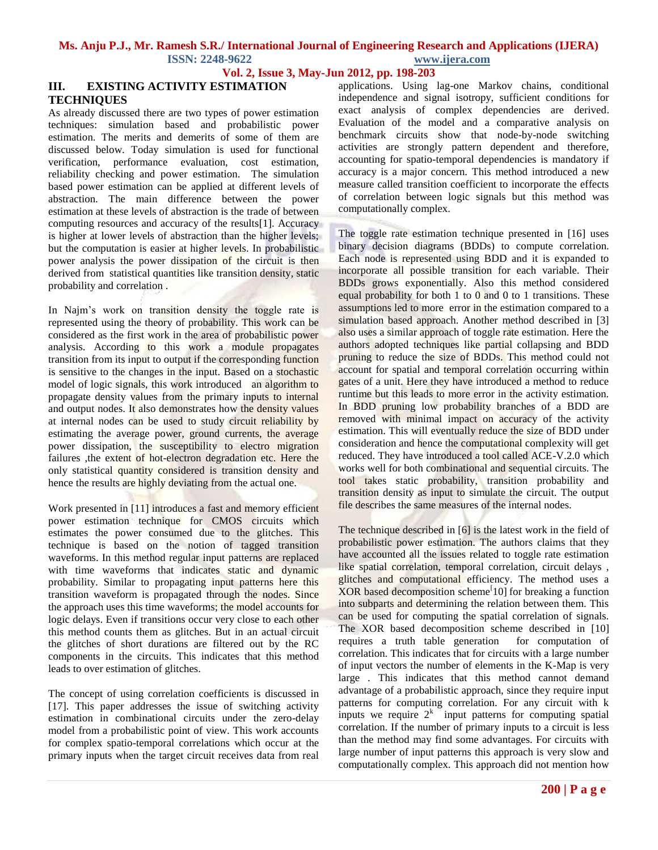**Vol. 2, Issue 3, May-Jun 2012, pp. 198-203**

# **III. EXISTING ACTIVITY ESTIMATION TECHNIQUES**

As already discussed there are two types of power estimation techniques: simulation based and probabilistic power estimation. The merits and demerits of some of them are discussed below. Today simulation is used for functional verification, performance evaluation, cost estimation, reliability checking and power estimation. The simulation based power estimation can be applied at different levels of abstraction. The main difference between the power estimation at these levels of abstraction is the trade of between computing resources and accuracy of the results[1]. Accuracy is higher at lower levels of abstraction than the higher levels; but the computation is easier at higher levels. In probabilistic power analysis the power dissipation of the circuit is then derived from statistical quantities like transition density, static probability and correlation .

In Najm's work on transition density the toggle rate is represented using the theory of probability. This work can be considered as the first work in the area of probabilistic power analysis. According to this work a module propagates transition from its input to output if the corresponding function is sensitive to the changes in the input. Based on a stochastic model of logic signals, this work introduced an algorithm to propagate density values from the primary inputs to internal and output nodes. It also demonstrates how the density values at internal nodes can be used to study circuit reliability by estimating the average power, ground currents, the average power dissipation, the susceptibility to electro migration failures ,the extent of hot-electron degradation etc. Here the only statistical quantity considered is transition density and hence the results are highly deviating from the actual one.

Work presented in [11] introduces a fast and memory efficient power estimation technique for CMOS circuits which estimates the power consumed due to the glitches. This technique is based on the notion of tagged transition waveforms. In this method regular input patterns are replaced with time waveforms that indicates static and dynamic probability. Similar to propagating input patterns here this transition waveform is propagated through the nodes. Since the approach uses this time waveforms; the model accounts for logic delays. Even if transitions occur very close to each other this method counts them as glitches. But in an actual circuit the glitches of short durations are filtered out by the RC components in the circuits. This indicates that this method leads to over estimation of glitches.

The concept of using correlation coefficients is discussed in [17]. This paper addresses the issue of switching activity estimation in combinational circuits under the zero-delay model from a probabilistic point of view. This work accounts for complex spatio-temporal correlations which occur at the primary inputs when the target circuit receives data from real

applications. Using lag-one Markov chains, conditional independence and signal isotropy, sufficient conditions for exact analysis of complex dependencies are derived. Evaluation of the model and a comparative analysis on benchmark circuits show that node-by-node switching activities are strongly pattern dependent and therefore, accounting for spatio-temporal dependencies is mandatory if accuracy is a major concern. This method introduced a new measure called transition coefficient to incorporate the effects of correlation between logic signals but this method was computationally complex.

The toggle rate estimation technique presented in [16] uses binary decision diagrams (BDDs) to compute correlation. Each node is represented using BDD and it is expanded to incorporate all possible transition for each variable. Their BDDs grows exponentially. Also this method considered equal probability for both  $1$  to  $0$  and  $0$  to  $1$  transitions. These assumptions led to more error in the estimation compared to a simulation based approach. Another method described in [3] also uses a similar approach of toggle rate estimation. Here the authors adopted techniques like partial collapsing and BDD pruning to reduce the size of BDDs. This method could not account for spatial and temporal correlation occurring within gates of a unit. Here they have introduced a method to reduce runtime but this leads to more error in the activity estimation. In BDD pruning low probability branches of a BDD are removed with minimal impact on accuracy of the activity estimation. This will eventually reduce the size of BDD under consideration and hence the computational complexity will get reduced. They have introduced a tool called ACE-V.2.0 which works well for both combinational and sequential circuits. The tool takes static probability, transition probability and transition density as input to simulate the circuit. The output file describes the same measures of the internal nodes.

The technique described in [6] is the latest work in the field of probabilistic power estimation. The authors claims that they have accounted all the issues related to toggle rate estimation like spatial correlation, temporal correlation, circuit delays , glitches and computational efficiency. The method uses a XOR based decomposition scheme $[10]$  for breaking a function into subparts and determining the relation between them. This can be used for computing the spatial correlation of signals. The XOR based decomposition scheme described in [10] requires a truth table generation for computation of correlation. This indicates that for circuits with a large number of input vectors the number of elements in the K-Map is very large . This indicates that this method cannot demand advantage of a probabilistic approach, since they require input patterns for computing correlation. For any circuit with k inputs we require  $2<sup>k</sup>$  input patterns for computing spatial correlation. If the number of primary inputs to a circuit is less than the method may find some advantages. For circuits with large number of input patterns this approach is very slow and computationally complex. This approach did not mention how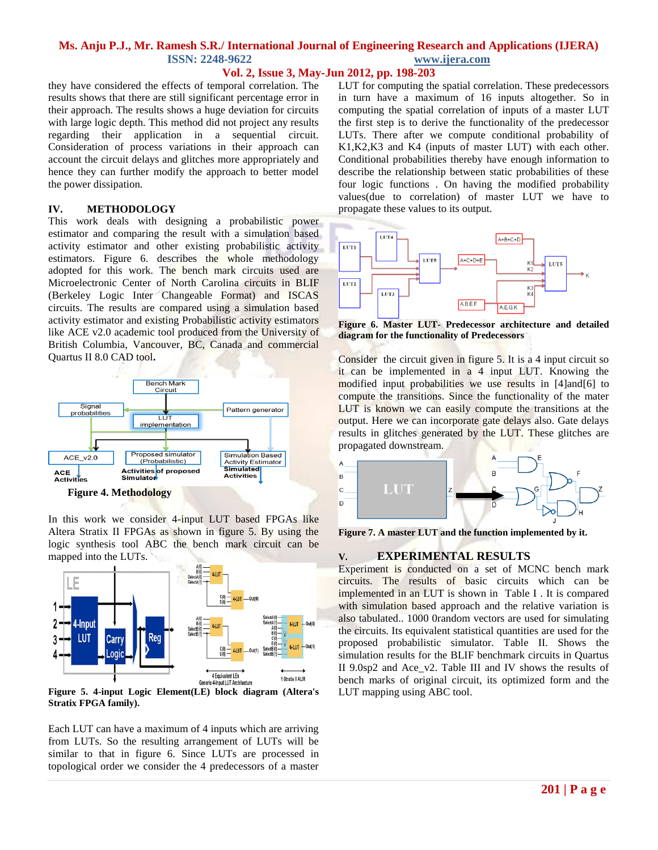# **Vol. 2, Issue 3, May-Jun 2012, pp. 198-203**

they have considered the effects of temporal correlation. The results shows that there are still significant percentage error in their approach. The results shows a huge deviation for circuits with large logic depth. This method did not project any results regarding their application in a sequential circuit. Consideration of process variations in their approach can account the circuit delays and glitches more appropriately and hence they can further modify the approach to better model the power dissipation.

### **IV. METHODOLOGY**

This work deals with designing a probabilistic power estimator and comparing the result with a simulation based activity estimator and other existing probabilistic activity estimators. Figure 6. describes the whole methodology adopted for this work. The bench mark circuits used are Microelectronic Center of North Carolina circuits in BLIF (Berkeley Logic Inter Changeable Format) and ISCAS circuits. The results are compared using a simulation based activity estimator and existing Probabilistic activity estimators like ACE v2.0 academic tool produced from the University of British Columbia, Vancouver, BC, Canada and commercial Quartus II 8.0 CAD tool**.**



In this work we consider 4-input LUT based FPGAs like Altera Stratix II FPGAs as shown in figure 5. By using the logic synthesis tool ABC the bench mark circuit can be mapped into the LUTs.



**Stratix FPGA family).**

Each LUT can have a maximum of 4 inputs which are arriving from LUTs. So the resulting arrangement of LUTs will be similar to that in figure 6. Since LUTs are processed in topological order we consider the 4 predecessors of a master LUT for computing the spatial correlation. These predecessors in turn have a maximum of 16 inputs altogether. So in computing the spatial correlation of inputs of a master LUT the first step is to derive the functionality of the predecessor LUTs. There after we compute conditional probability of K1,K2,K3 and K4 (inputs of master LUT) with each other. Conditional probabilities thereby have enough information to describe the relationship between static probabilities of these four logic functions . On having the modified probability values(due to correlation) of master LUT we have to propagate these values to its output.



**Figure 6. Master LUT- Predecessor architecture and detailed diagram for the functionality of Predecessors**

Consider the circuit given in figure 5. It is a 4 input circuit so it can be implemented in a 4 input LUT. Knowing the modified input probabilities we use results in [4]and[6] to compute the transitions. Since the functionality of the mater LUT is known we can easily compute the transitions at the output. Here we can incorporate gate delays also. Gate delays results in glitches generated by the LUT. These glitches are propagated downstream.



**Figure 7. A master LUT and the function implemented by it.**

### **V. EXPERIMENTAL RESULTS**

Experiment is conducted on a set of MCNC bench mark circuits. The results of basic circuits which can be implemented in an LUT is shown in Table I . It is compared with simulation based approach and the relative variation is also tabulated.. 1000 0random vectors are used for simulating the circuits. Its equivalent statistical quantities are used for the proposed probabilistic simulator. Table II. Shows the simulation results for the BLIF benchmark circuits in Quartus II 9.0sp2 and Ace\_v2. Table III and IV shows the results of bench marks of original circuit, its optimized form and the LUT mapping using ABC tool.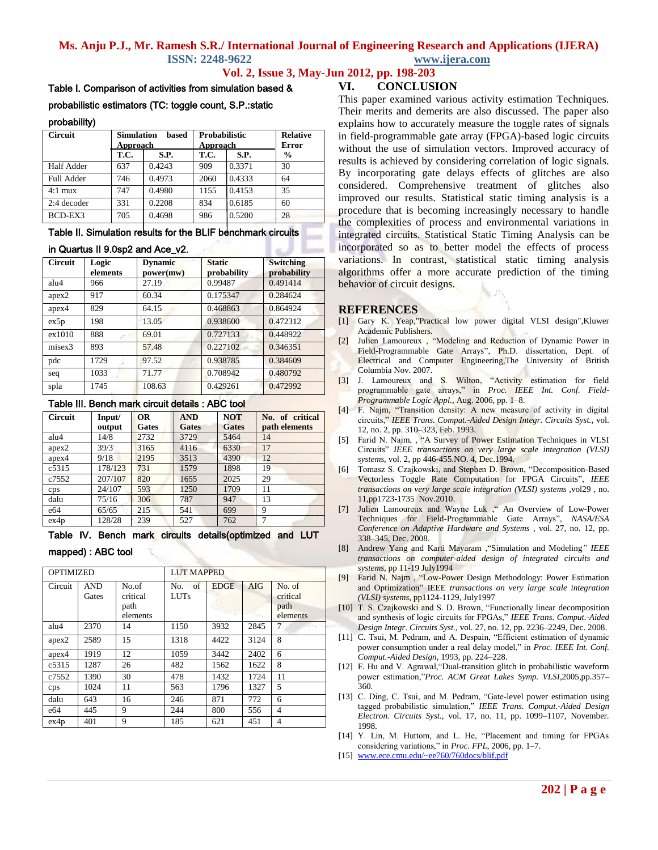### **Vol. 2, Issue 3, May-Jun 2012, pp. 198-203**

#### Table I. Comparison of activities from simulation based &

### probabilistic estimators (TC: toggle count, S.P.:static

#### probability)

| <b>Circuit</b>    | <b>Simulation</b><br>based<br>Approach |        | <b>Probabilistic</b><br>Approach |        | <b>Relative</b><br><b>Error</b> |
|-------------------|----------------------------------------|--------|----------------------------------|--------|---------------------------------|
|                   | T.C.                                   | S.P.   | T.C.                             | S.P.   | $\frac{6}{9}$                   |
| <b>Half Adder</b> | 637                                    | 0.4243 | 909                              | 0.3371 | 30                              |
| <b>Full Adder</b> | 746                                    | 0.4973 | 2060                             | 0.4333 | 64                              |
| $4:1$ mux         | 747                                    | 0.4980 | 1155                             | 0.4153 | 35                              |
| 2:4 decoder       | 331                                    | 0.2208 | 834                              | 0.6185 | 60                              |
| BCD-EX3           | 705                                    | 0.4698 | 986                              | 0.5200 | 28                              |

### Table II. Simulation results for the BLIF benchmark circuits

#### in Quartus II 9.0sp2 and Ace\_v2.

| <b>Circuit</b>    | Logic    | <b>Dynamic</b> | <b>Static</b> | <b>Switching</b> |
|-------------------|----------|----------------|---------------|------------------|
|                   | elements | power(mw)      | probability   | probability      |
| alu4              | 966      | 27.19          | 0.99487       | 0.491414         |
| apex <sub>2</sub> | 917      | 60.34          | 0.175347      | 0.284624         |
| apex4             | 829      | 64.15          | 0.468863      | 0.864924         |
| ex5p              | 198      | 13.05          | 0.938600      | 0.472312         |
| ex1010            | 888      | 69.01          | 0.727133      | 0.448922         |
| misex3            | 893      | 57.48          | 0.227102      | 0.346351         |
| pdc               | 1729     | 97.52          | 0.938785      | 0.384609         |
| seq               | 1033     | 71.77          | 0.708942      | 0.480792         |
| spla              | 1745     | 108.63         | 0.429261      | 0.472992         |

#### Table III. Bench mark circuit details : ABC tool

| <b>Circuit</b> | Input/  | OR    | <b>AND</b> | <b>NOT</b> | No. of critical |
|----------------|---------|-------|------------|------------|-----------------|
|                | output  | Gates | Gates      | Gates      | path elements   |
| alu4           | 14/8    | 2732  | 3729       | 5464       | 14              |
| apex2          | 39/3    | 3165  | 4116       | 6330       | 17              |
| apex4          | 9/18    | 2195  | 3513       | 4390       | 12              |
| c5315          | 178/123 | 731   | 1579       | 1898       | 19              |
| c7552          | 207/107 | 820   | 1655       | 2025       | 29              |
| cps            | 24/107  | 593   | 1250       | 1709       | 11              |
| dalu           | 75/16   | 306   | 787        | 947        | 13              |
| e64            | 65/65   | 215   | 541        | 699        | 9               |
| ex4p           | 128/28  | 239   | 527        | 762        |                 |

Table IV. Bench mark circuits details(optimized and LUT

#### mapped) : ABC tool

| <b>OPTIMIZED</b> |                     |                                       | <b>LUT MAPPED</b>     |             |      |                                        |
|------------------|---------------------|---------------------------------------|-----------------------|-------------|------|----------------------------------------|
| Circuit          | <b>AND</b><br>Gates | No.of<br>critical<br>path<br>elements | No. of<br><b>LUTs</b> | <b>EDGE</b> | AIG  | No. of<br>critical<br>path<br>elements |
| alu4             | 2370                | 14                                    | 1150                  | 3932        | 2845 |                                        |
| apex2            | 2589                | 15                                    | 1318                  | 4422        | 3124 | 8                                      |
| apex4            | 1919                | 12                                    | 1059                  | 3442        | 2402 | 6                                      |
| c5315            | 1287                | 26                                    | 482                   | 1562        | 1622 | 8                                      |
| c7552            | 1390                | 30                                    | 478                   | 1432        | 1724 | 11                                     |
| cps              | 1024                | 11                                    | 563                   | 1796        | 1327 | 5                                      |
| dalu             | 643                 | 16                                    | 246                   | 871         | 772  | 6                                      |
| e64              | 445                 | 9                                     | 244                   | 800         | 556  | 4                                      |
| ex4p             | 401                 | 9                                     | 185                   | 621         | 451  | 4                                      |

### **VI. CONCLUSION**

This paper examined various activity estimation Techniques. Their merits and demerits are also discussed. The paper also explains how to accurately measure the toggle rates of signals in field-programmable gate array (FPGA)-based logic circuits without the use of simulation vectors. Improved accuracy of results is achieved by considering correlation of logic signals. By incorporating gate delays effects of glitches are also considered. Comprehensive treatment of glitches also improved our results. Statistical static timing analysis is a procedure that is becoming increasingly necessary to handle the complexities of process and environmental variations in integrated circuits. Statistical Static Timing Analysis can be incorporated so as to better model the effects of process variations. In contrast, statistical static timing analysis algorithms offer a more accurate prediction of the timing behavior of circuit designs.

#### **REFERENCES**

- [1] Gary K. Yeap,"Practical low power digital VLSI design",Kluwer Academic Publishers.
- [2] Julien Lamoureux , "Modeling and Reduction of Dynamic Power in Field-Programmable Gate Arrays", Ph.D. dissertation, Dept. of Electrical and Computer Engineering,The University of British Columbia Nov. 2007.
- [3] J. Lamoureux and S. Wilton, "Activity estimation for field programmable gate arrays," in *Proc. IEEE Int. Conf. Field-Programmable Logic Appl.*, Aug. 2006, pp. 1–8.
- [4] F. Najm, "Transition density: A new measure of activity in digital circuits," *IEEE Trans. Comput.-Aided Design Integr. Circuits Syst.*, vol. 12, no. 2, pp. 310–323, Feb. 1993.
- [5] Farid N. Najm, , "A Survey of Power Estimation Techniques in VLSI Circuits" *IEEE transactions on very large scale integration (VLSI) systems*, vol. 2, pp 446-455.NO. 4, Dec.1994.
- [6] Tomasz S. Czajkowski, and Stephen D. Brown, "Decomposition-Based Vectorless Toggle Rate Computation for FPGA Circuits", *IEEE transactions on very large scale integration (VLSI) systems ,*vol29 , no. 11,pp1723-1735 Nov.2010.
- [7] Julien Lamoureux and Wayne Luk ," An Overview of Low-Power Techniques for Field-Programmable Gate Arrays", *NASA/ESA Conference on Adaptive Hardware and Systems* , vol. 27, no. 12, pp. 338–345, Dec. 2008.
- [8] Andrew Yang and Karti Mayaram ,"Simulation and Modeling*" IEEE transactions on computer-aided design of integrated circuits and systems,* pp 11-19 July1994
- [9] Farid N. Najm , "Low-Power Design Methodology: Power Estimation and Optimization" IEEE *transactions on very large scale integration (VLSI) systems,* pp1124-1129, July1997
- [10] T. S. Czajkowski and S. D. Brown, "Functionally linear decomposition and synthesis of logic circuits for FPGAs," *IEEE Trans. Comput.-Aided Design Integr. Circuits Syst.*, vol. 27, no. 12, pp. 2236–2249, Dec. 2008.
- [11] C. Tsui, M. Pedram, and A. Despain, "Efficient estimation of dynamic power consumption under a real delay model," in *Proc. IEEE Int. Conf. Comput.-Aided Design*, 1993, pp. 224–228.
- [12] F. Hu and V. Agrawal,"Dual-transition glitch in probabilistic waveform power estimation,"*Proc. ACM Great Lakes Symp. VLSI*,2005,pp.357–  $360.$
- [13] C. Ding, C. Tsui, and M. Pedram, "Gate-level power estimation using tagged probabilistic simulation," *IEEE Trans. Comput.-Aided Design Electron. Circuits Syst.*, vol. 17, no. 11, pp. 1099–1107, November. 1998.
- [14] Y. Lin, M. Huttom, and L. He, "Placement and timing for FPGAs considering variations," in *Proc. FPL*, 2006, pp. 1–7.
- [15] [www.ece.cmu.edu/~ee760/760docs/blif.pdf](http://www.ece.cmu.edu/~ee760/760docs/blif.pdf)